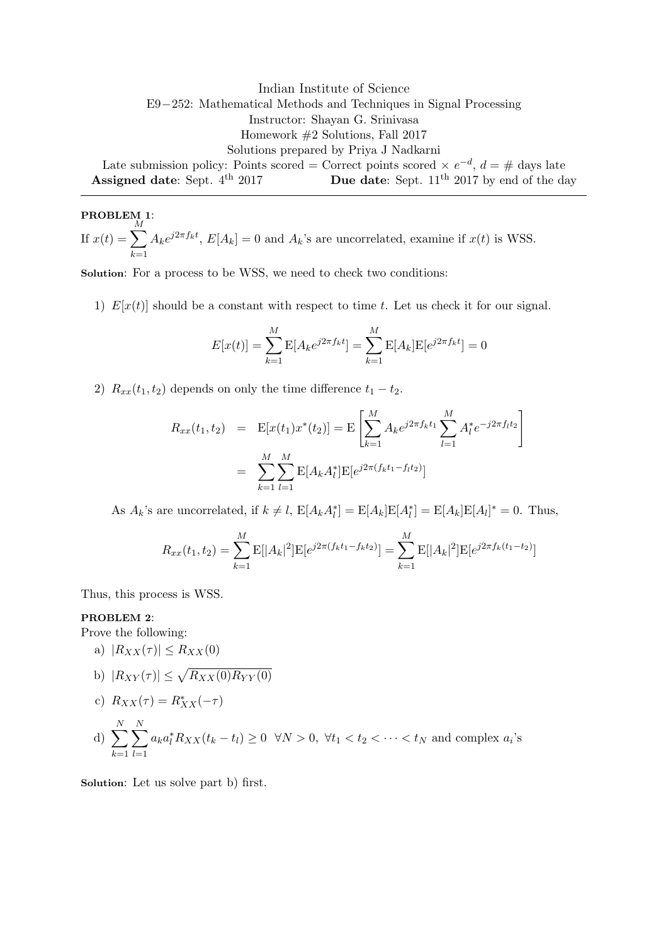Indian Institute of Science E9−252: Mathematical Methods and Techniques in Signal Processing Instructor: Shayan G. Srinivasa Homework #2 Solutions, Fall 2017 Solutions prepared by Priya J Nadkarni Late submission policy: Points scored = Correct points scored  $\times e^{-d}$ ,  $d = \#$  days late Assigned date: Sept.  $4^{th}$  2017 Due date: Sept.  $11^{th}$  2017 by end of the day

PROBLEM 1: If  $x(t) = \sum$ M  $_{k=1}$  $A_k e^{j2\pi f_k t}$ ,  $E[A_k] = 0$  and  $A_k$ 's are uncorrelated, examine if  $x(t)$  is WSS.

Solution: For a process to be WSS, we need to check two conditions:

1)  $E[x(t)]$  should be a constant with respect to time t. Let us check it for our signal.

$$
E[x(t)] = \sum_{k=1}^{M} E[A_k e^{j2\pi f_k t}] = \sum_{k=1}^{M} E[A_k] E[e^{j2\pi f_k t}] = 0
$$

2)  $R_{xx}(t_1, t_2)$  depends on only the time difference  $t_1 - t_2$ .

$$
R_{xx}(t_1, t_2) = \mathbf{E}[x(t_1)x^*(t_2)] = \mathbf{E}\left[\sum_{k=1}^M A_k e^{j2\pi f_k t_1} \sum_{l=1}^M A_l^* e^{-j2\pi f_l t_2}\right]
$$

$$
= \sum_{k=1}^M \sum_{l=1}^M \mathbf{E}[A_k A_l^*] \mathbf{E}[e^{j2\pi (f_k t_1 - f_l t_2)}]
$$

As  $A_k$ 's are uncorrelated, if  $k \neq l$ ,  $\mathbb{E}[A_k A_l^*] = \mathbb{E}[A_k] \mathbb{E}[A_l^*] = \mathbb{E}[A_k] \mathbb{E}[A_l]^* = 0$ . Thus,

$$
R_{xx}(t_1, t_2) = \sum_{k=1}^{M} \mathbb{E}[|A_k|^2] \mathbb{E}[e^{j2\pi (f_k t_1 - f_k t_2)}] = \sum_{k=1}^{M} \mathbb{E}[|A_k|^2] \mathbb{E}[e^{j2\pi f_k(t_1 - t_2)}]
$$

Thus, this process is WSS.

## PROBLEM 2:

Prove the following:

a)  $|R_{XX}(\tau)| \leq R_{XX}(0)$ 

b) 
$$
|R_{XY}(\tau)| \leq \sqrt{R_{XX}(0)R_{YY}(0)}
$$

c) 
$$
R_{XX}(\tau) = R_{XX}^*(-\tau)
$$

d)  $\sum$ N  $k=1$  $\sum$ N  $_{l=1}$  $a_k a_l^* R_{XX}(t_k - t_l) \geq 0 \quad \forall N > 0, \quad \forall t_1 < t_2 < \cdots < t_N$  and complex  $a_i$ 's

Solution: Let us solve part b) first.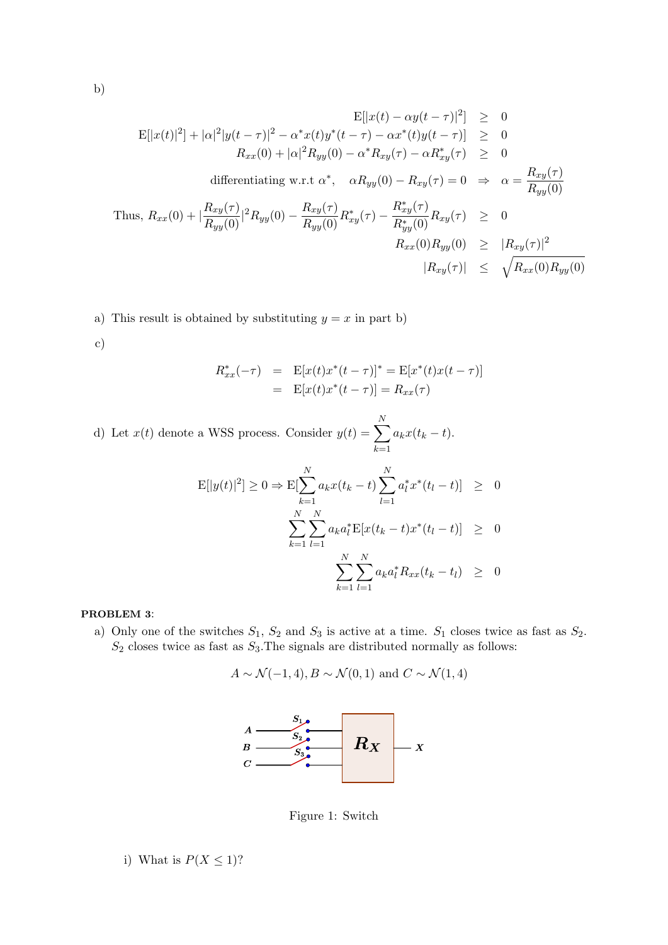$$
E[|x(t) - \alpha y(t - \tau)|^2] \ge 0
$$
  
\n
$$
E[|x(t)|^2] + |\alpha|^2 |y(t - \tau)|^2 - \alpha^* x(t)y^*(t - \tau) - \alpha x^*(t)y(t - \tau)] \ge 0
$$
  
\n
$$
R_{xx}(0) + |\alpha|^2 R_{yy}(0) - \alpha^* R_{xy}(\tau) - \alpha R_{xy}^*(\tau) \ge 0
$$
  
\ndifferentiating w.r.t  $\alpha^*$ ,  $\alpha R_{yy}(0) - R_{xy}(\tau) = 0 \Rightarrow \alpha = \frac{R_{xy}(\tau)}{R_{yy}(0)}$   
\nThus,  $R_{xx}(0) + |\frac{R_{xy}(\tau)}{R_{yy}(0)}|^2 R_{yy}(0) - \frac{R_{xy}(\tau)}{R_{yy}(0)} R_{xy}^*(\tau) - \frac{R_{xy}^*(\tau)}{R_{yy}^*(0)} R_{xy}(\tau) \ge 0$   
\n
$$
R_{xx}(0)R_{yy}(0) \ge |R_{xy}(\tau)|^2
$$
  
\n
$$
|R_{xy}(\tau)| \le \sqrt{R_{xx}(0)R_{yy}(0)}
$$

- a) This result is obtained by substituting  $y = x$  in part b)
- c)

$$
R_{xx}^*(-\tau) = \mathbf{E}[x(t)x^*(t-\tau)]^* = \mathbf{E}[x^*(t)x(t-\tau)]
$$
  
=  $\mathbf{E}[x(t)x^*(t-\tau)] = R_{xx}(\tau)$ 

d) Let  $x(t)$  denote a WSS process. Consider  $y(t) = \sum$ N  $k=1$  $a_kx(t_k-t).$ 

$$
\mathcal{E}[|y(t)|^2] \ge 0 \Rightarrow \mathcal{E}[\sum_{k=1}^N a_k x(t_k - t) \sum_{l=1}^N a_l^* x^*(t_l - t)] \ge 0
$$
  

$$
\sum_{k=1}^N \sum_{l=1}^N a_k a_l^* \mathcal{E}[x(t_k - t) x^*(t_l - t)] \ge 0
$$
  

$$
\sum_{k=1}^N \sum_{l=1}^N a_k a_l^* R_{xx}(t_k - t_l) \ge 0
$$

## PROBLEM 3:

a) Only one of the switches  $S_1$ ,  $S_2$  and  $S_3$  is active at a time.  $S_1$  closes twice as fast as  $S_2$ .  $S_2$  closes twice as fast as  $S_3$ . The signals are distributed normally as follows:

$$
A \sim \mathcal{N}(-1, 4), B \sim \mathcal{N}(0, 1)
$$
 and  $C \sim \mathcal{N}(1, 4)$ 



Figure 1: Switch

i) What is  $P(X \leq 1)$ ?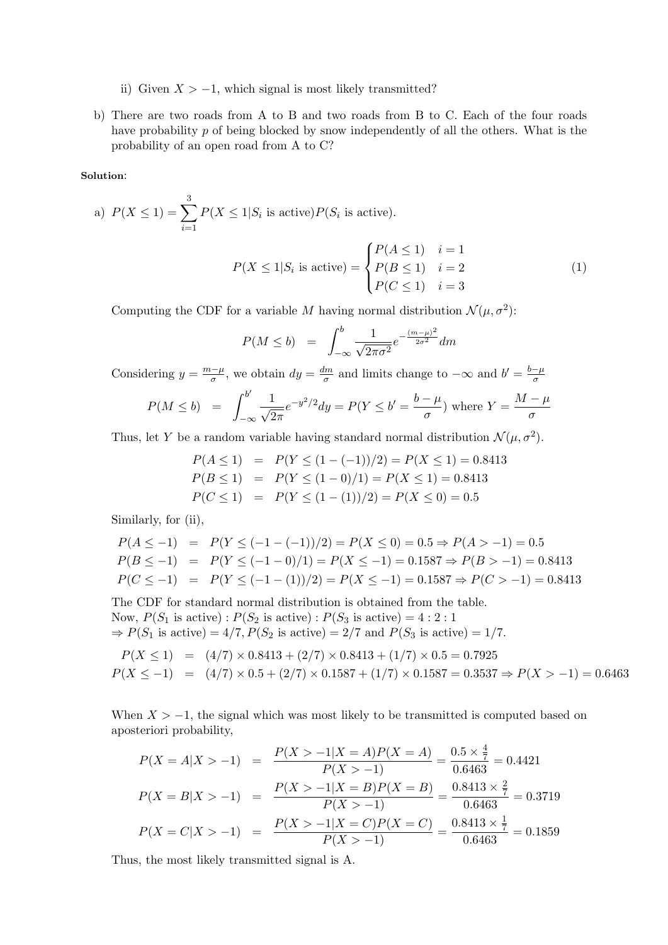- ii) Given  $X > -1$ , which signal is most likely transmitted?
- b) There are two roads from A to B and two roads from B to C. Each of the four roads have probability p of being blocked by snow independently of all the others. What is the probability of an open road from A to C?

## Solution:

a) 
$$
P(X \le 1) = \sum_{i=1}^{3} P(X \le 1 | S_i \text{ is active}) P(S_i \text{ is active}).
$$
\n
$$
\int P(A \le 1) \quad i = 1
$$

$$
P(X \le 1 | S_i \text{ is active}) = \begin{cases} P(A \le 1) & i = 1 \\ P(B \le 1) & i = 2 \\ P(C \le 1) & i = 3 \end{cases} \tag{1}
$$

Computing the CDF for a variable M having normal distribution  $\mathcal{N}(\mu, \sigma^2)$ :

$$
P(M \le b) = \int_{-\infty}^{b} \frac{1}{\sqrt{2\pi\sigma^2}} e^{-\frac{(m-\mu)^2}{2\sigma^2}} dm
$$

Considering  $y = \frac{m-\mu}{\sigma}$  $\frac{d\sigma}{d\sigma}$ , we obtain  $dy = \frac{dm}{\sigma}$  $\frac{dm}{\sigma}$  and limits change to  $-\infty$  and  $b' = \frac{b-\mu}{\sigma}$ σ

$$
P(M \le b) = \int_{-\infty}^{b'} \frac{1}{\sqrt{2\pi}} e^{-y^2/2} dy = P(Y \le b' = \frac{b-\mu}{\sigma}) \text{ where } Y = \frac{M-\mu}{\sigma}
$$

Thus, let Y be a random variable having standard normal distribution  $\mathcal{N}(\mu, \sigma^2)$ .

$$
P(A \le 1) = P(Y \le (1 - (-1))/2) = P(X \le 1) = 0.8413
$$
  
\n
$$
P(B \le 1) = P(Y \le (1 - 0)/1) = P(X \le 1) = 0.8413
$$
  
\n
$$
P(C \le 1) = P(Y \le (1 - (1))/2) = P(X \le 0) = 0.5
$$

Similarly, for (ii),

$$
P(A \le -1) = P(Y \le (-1 - (-1))/2) = P(X \le 0) = 0.5 \Rightarrow P(A > -1) = 0.5
$$
  
\n
$$
P(B \le -1) = P(Y \le (-1 - 0)/1) = P(X \le -1) = 0.1587 \Rightarrow P(B > -1) = 0.8413
$$
  
\n
$$
P(C \le -1) = P(Y \le (-1 - (1))/2) = P(X \le -1) = 0.1587 \Rightarrow P(C > -1) = 0.8413
$$

The CDF for standard normal distribution is obtained from the table. Now,  $P(S_1 \text{ is active})$ :  $P(S_2 \text{ is active})$ :  $P(S_3 \text{ is active}) = 4:2:1$  $\Rightarrow$   $P(S_1$  is active) = 4/7,  $P(S_2$  is active) = 2/7 and  $P(S_3$  is active) = 1/7.

$$
P(X \le 1) = (4/7) \times 0.8413 + (2/7) \times 0.8413 + (1/7) \times 0.5 = 0.7925
$$
  

$$
P(X \le -1) = (4/7) \times 0.5 + (2/7) \times 0.1587 + (1/7) \times 0.1587 = 0.3537 \Rightarrow P(X > -1) = 0.6463
$$

When  $X > -1$ , the signal which was most likely to be transmitted is computed based on aposteriori probability,

$$
P(X = A|X > -1) = \frac{P(X > -1|X = A)P(X = A)}{P(X > -1)} = \frac{0.5 \times \frac{4}{7}}{0.6463} = 0.4421
$$
  
\n
$$
P(X = B|X > -1) = \frac{P(X > -1|X = B)P(X = B)}{P(X > -1)} = \frac{0.8413 \times \frac{2}{7}}{0.6463} = 0.3719
$$
  
\n
$$
P(X = C|X > -1) = \frac{P(X > -1|X = C)P(X = C)}{P(X > -1)} = \frac{0.8413 \times \frac{1}{7}}{0.6463} = 0.1859
$$

Thus, the most likely transmitted signal is A.